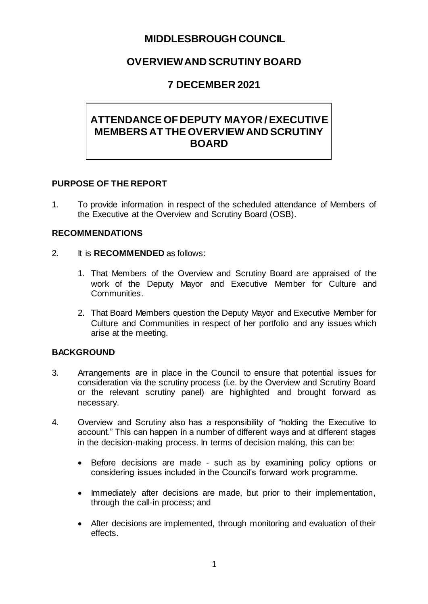# **MIDDLESBROUGH COUNCIL**

# **OVERVIEW AND SCRUTINY BOARD**

# **7 DECEMBER 2021**

# **ATTENDANCE OF DEPUTY MAYOR / EXECUTIVE MEMBERS AT THE OVERVIEW AND SCRUTINY BOARD**

#### **PURPOSE OF THE REPORT**

1. To provide information in respect of the scheduled attendance of Members of the Executive at the Overview and Scrutiny Board (OSB).

#### **RECOMMENDATIONS**

- 2. It is **RECOMMENDED** as follows:
	- 1. That Members of the Overview and Scrutiny Board are appraised of the work of the Deputy Mayor and Executive Member for Culture and Communities.
	- 2. That Board Members question the Deputy Mayor and Executive Member for Culture and Communities in respect of her portfolio and any issues which arise at the meeting.

#### **BACKGROUND**

- 3. Arrangements are in place in the Council to ensure that potential issues for consideration via the scrutiny process (i.e. by the Overview and Scrutiny Board or the relevant scrutiny panel) are highlighted and brought forward as necessary.
- 4. Overview and Scrutiny also has a responsibility of "holding the Executive to account." This can happen in a number of different ways and at different stages in the decision-making process. In terms of decision making, this can be:
	- Before decisions are made such as by examining policy options or considering issues included in the Council's forward work programme.
	- Immediately after decisions are made, but prior to their implementation, through the call-in process; and
	- After decisions are implemented, through monitoring and evaluation of their effects.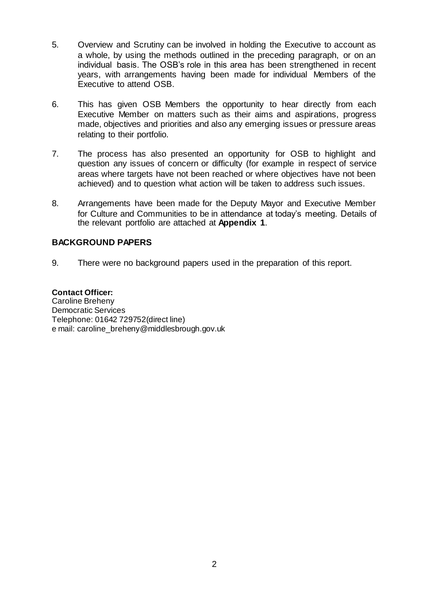- 5. Overview and Scrutiny can be involved in holding the Executive to account as a whole, by using the methods outlined in the preceding paragraph, or on an individual basis. The OSB's role in this area has been strengthened in recent years, with arrangements having been made for individual Members of the Executive to attend OSB.
- 6. This has given OSB Members the opportunity to hear directly from each Executive Member on matters such as their aims and aspirations, progress made, objectives and priorities and also any emerging issues or pressure areas relating to their portfolio.
- 7. The process has also presented an opportunity for OSB to highlight and question any issues of concern or difficulty (for example in respect of service areas where targets have not been reached or where objectives have not been achieved) and to question what action will be taken to address such issues.
- 8. Arrangements have been made for the Deputy Mayor and Executive Member for Culture and Communities to be in attendance at today's meeting. Details of the relevant portfolio are attached at **Appendix 1**.

#### **BACKGROUND PAPERS**

9. There were no background papers used in the preparation of this report.

#### **Contact Officer:**  Caroline Breheny Democratic Services Telephone: 01642 729752(direct line) e mail: caroline\_breheny@middlesbrough.gov.uk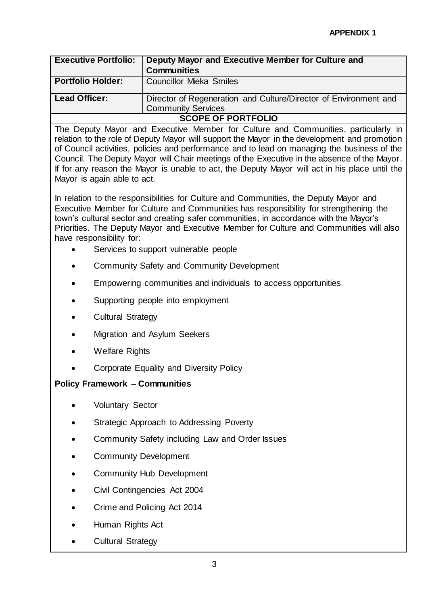| <b>Executive Portfolio:</b> | Deputy Mayor and Executive Member for Culture and<br><b>Communities</b>                       |
|-----------------------------|-----------------------------------------------------------------------------------------------|
| <b>Portfolio Holder:</b>    | <b>Councillor Mieka Smiles</b>                                                                |
| <b>Lead Officer:</b>        | Director of Regeneration and Culture/Director of Environment and<br><b>Community Services</b> |
| <b>SCOPE OF PORTFOLIO</b>   |                                                                                               |

The Deputy Mayor and Executive Member for Culture and Communities, particularly in relation to the role of Deputy Mayor will support the Mayor in the development and promotion of Council activities, policies and performance and to lead on managing the business of the Council. The Deputy Mayor will Chair meetings of the Executive in the absence of the Mayor. If for any reason the Mayor is unable to act, the Deputy Mayor will act in his place until the Mayor is again able to act.

In relation to the responsibilities for Culture and Communities, the Deputy Mayor and Executive Member for Culture and Communities has responsibility for strengthening the town's cultural sector and creating safer communities, in accordance with the Mayor's Priorities. The Deputy Mayor and Executive Member for Culture and Communities will also have responsibility for:

- Services to support vulnerable people
- Community Safety and Community Development
- Empowering communities and individuals to access opportunities
- Supporting people into employment
- Cultural Strategy
- Migration and Asylum Seekers
- Welfare Rights
- Corporate Equality and Diversity Policy

### **Policy Framework – Communities**

- Voluntary Sector
- Strategic Approach to Addressing Poverty
- Community Safety including Law and Order Issues
- Community Development
- Community Hub Development
- Civil Contingencies Act 2004
- Crime and Policing Act 2014
- Human Rights Act
- Cultural Strategy